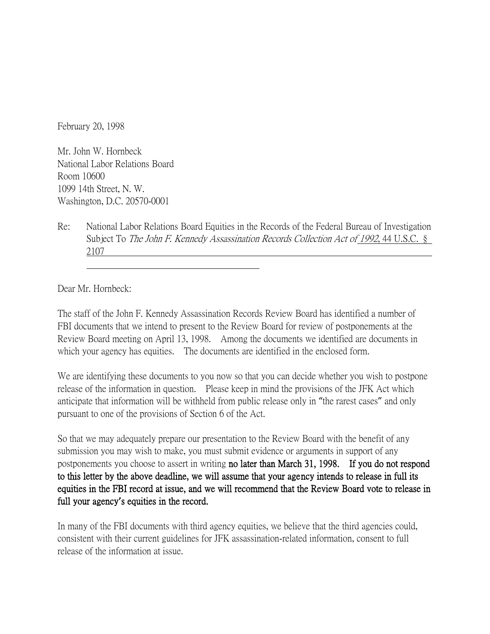February 20, 1998

Mr. John W. Hornbeck National Labor Relations Board Room 10600 1099 14th Street, N. W. Washington, D.C. 20570-0001

Re: National Labor Relations Board Equities in the Records of the Federal Bureau of Investigation Subject To The John F. Kennedy Assassination Records Collection Act of 1992, 44 U.S.C. § 2107

Dear Mr. Hornbeck:

The staff of the John F. Kennedy Assassination Records Review Board has identified a number of FBI documents that we intend to present to the Review Board for review of postponements at the Review Board meeting on April 13, 1998. Among the documents we identified are documents in which your agency has equities. The documents are identified in the enclosed form.

We are identifying these documents to you now so that you can decide whether you wish to postpone release of the information in question. Please keep in mind the provisions of the JFK Act which anticipate that information will be withheld from public release only in "the rarest cases" and only pursuant to one of the provisions of Section 6 of the Act.

So that we may adequately prepare our presentation to the Review Board with the benefit of any submission you may wish to make, you must submit evidence or arguments in support of any postponements you choose to assert in writing no later than March 31, 1998. If you do not respond to this letter by the above deadline, we will assume that your agency intends to release in full its equities in the FBI record at issue, and we will recommend that the Review Board vote to release in full your agency**'**s equities in the record.

In many of the FBI documents with third agency equities, we believe that the third agencies could, consistent with their current guidelines for JFK assassination-related information, consent to full release of the information at issue.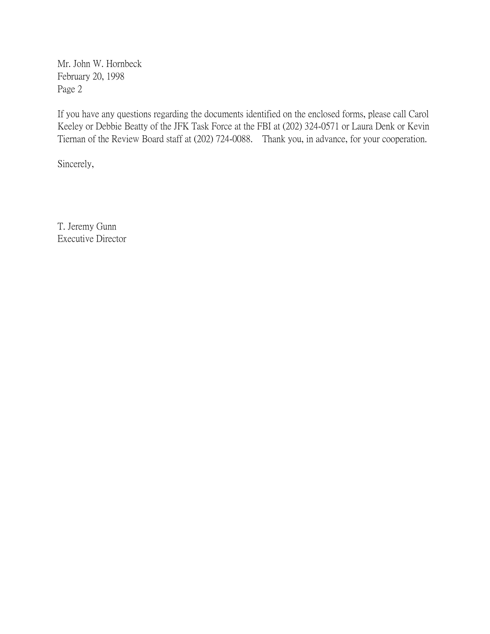Mr. John W. Hornbeck February 20, 1998 Page 2

If you have any questions regarding the documents identified on the enclosed forms, please call Carol Keeley or Debbie Beatty of the JFK Task Force at the FBI at (202) 324-0571 or Laura Denk or Kevin Tiernan of the Review Board staff at (202) 724-0088. Thank you, in advance, for your cooperation.

Sincerely,

T. Jeremy Gunn Executive Director